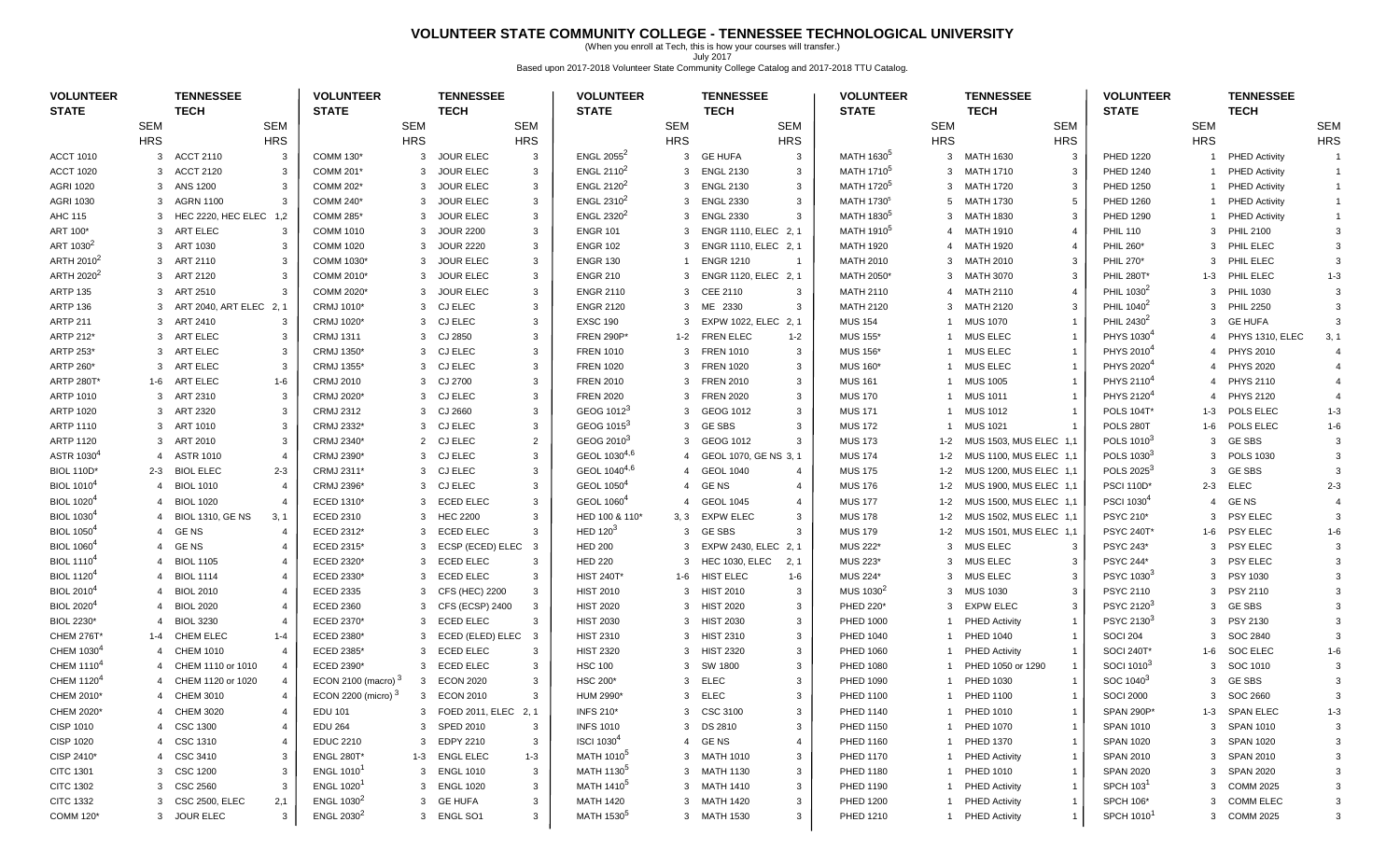## **VOLUNTEER STATE COMMUNITY COLLEGE - TENNESSEE TECHNOLOGICAL UNIVERSITY**

(When you enroll at Tech, this is how your courses will transfer.) July 2017 Based upon 2017-2018 Volunteer State Community College Catalog and 2017-2018 TTU Catalog.

| <b>VOLUNTEER</b><br><b>STATE</b> |                | <b>TENNESSEE</b><br><b>TECH</b> |                | <b>VOLUNTEER</b><br><b>STATE</b> |              | <b>TENNESSEE</b><br><b>TECH</b> |                         | <b>VOLUNTEER</b><br><b>STATE</b> |            | <b>TENNESSEE</b><br><b>TECH</b> |                | <b>VOLUNTEER</b><br><b>STATE</b> |                | <b>TENNESSEE</b><br><b>TECH</b> |                | <b>VOLUNTEER</b><br><b>STATE</b> |                | <b>TENNESSEE</b><br><b>TECH</b> |                |
|----------------------------------|----------------|---------------------------------|----------------|----------------------------------|--------------|---------------------------------|-------------------------|----------------------------------|------------|---------------------------------|----------------|----------------------------------|----------------|---------------------------------|----------------|----------------------------------|----------------|---------------------------------|----------------|
|                                  | <b>SEM</b>     |                                 | <b>SEM</b>     |                                  | <b>SEM</b>   |                                 | <b>SEM</b>              |                                  | <b>SEM</b> |                                 | <b>SEM</b>     |                                  | <b>SEM</b>     |                                 | SEM            |                                  | <b>SEM</b>     |                                 | <b>SEM</b>     |
|                                  | <b>HRS</b>     |                                 | <b>HRS</b>     |                                  | <b>HRS</b>   |                                 | <b>HRS</b>              |                                  | <b>HRS</b> |                                 | <b>HRS</b>     |                                  | <b>HRS</b>     |                                 | <b>HRS</b>     |                                  | <b>HRS</b>     |                                 | <b>HRS</b>     |
| <b>ACCT 1010</b>                 | 3              | <b>ACCT 2110</b>                | 3              | COMM 130*                        | 3            | <b>JOUR ELEC</b>                | $\mathbf{3}$            | ENGL $2055^2$                    | 3          | <b>GE HUFA</b>                  | 3              | MATH 1630 <sup>5</sup>           | 3              | MATH 1630                       | $\mathbf{3}$   | <b>PHED 1220</b>                 |                | <b>PHED Activity</b>            |                |
| <b>ACCT 1020</b>                 | 3              | <b>ACCT 2120</b>                | 3              | COMM 201*                        | 3            | <b>JOUR ELEC</b>                | 3                       | ENGL 2110 $2$                    |            | 3 ENGL 2130                     | 3              | MATH 1710 <sup>5</sup>           | 3              | MATH 1710                       | -3             | <b>PHED 1240</b>                 | $\mathbf{1}$   | PHED Activity                   | $\mathbf{1}$   |
| <b>AGRI 1020</b>                 |                | 3 ANS 1200                      | 3              | COMM 202*                        | 3            | <b>JOUR ELEC</b>                | 3                       | ENGL 2120 <sup>2</sup>           |            | 3 ENGL 2130                     | 3              | MATH 1720 <sup>5</sup>           |                | 3 MATH 1720                     | 3              | <b>PHED 1250</b>                 |                | <b>PHED Activity</b>            |                |
| <b>AGRI 1030</b>                 |                | 3 AGRN 1100                     | 3              | COMM 240*                        | 3            | <b>JOUR ELEC</b>                | $\mathbf{3}$            | ENGL $2310^2$                    |            | 3 ENGL 2330                     | 3              | MATH 1730 <sup>5</sup>           |                | 5 MATH 1730                     | 5              | <b>PHED 1260</b>                 | $\mathbf{1}$   | <b>PHED Activity</b>            |                |
| AHC 115                          | 3              | HEC 2220, HEC ELEC 1,2          |                | <b>COMM 285*</b>                 | 3            | <b>JOUR ELEC</b>                | 3                       | ENGL 2320 <sup>2</sup>           | 3          | <b>ENGL 2330</b>                | 3              | MATH 1830 <sup>5</sup>           | 3              | MATH 1830                       | 3              | <b>PHED 1290</b>                 |                | <b>PHED Activity</b>            |                |
| ART 100*                         | 3              | ART ELEC                        | 3              | <b>COMM 1010</b>                 | 3            | <b>JOUR 2200</b>                | 3                       | <b>ENGR 101</b>                  | 3          | ENGR 1110, ELEC 2, 1            |                | MATH 1910 <sup>5</sup>           | 4              | MATH 1910                       | $\overline{4}$ | <b>PHIL 110</b>                  | $\mathbf{3}$   | <b>PHIL 2100</b>                | 3              |
| ART 1030 <sup>2</sup>            | 3              | ART 1030                        | 3              | <b>COMM 1020</b>                 | 3            | <b>JOUR 2220</b>                | 3                       | <b>ENGR 102</b>                  |            | 3 ENGR 1110, ELEC 2.1           |                | <b>MATH 1920</b>                 | 4              | MATH 1920                       |                | PHIL 260*                        | $\mathbf{3}$   | PHIL ELEC                       |                |
| ARTH 2010 <sup>2</sup>           |                | 3 ART 2110                      | 3              | COMM 1030*                       |              | 3 JOUR ELEC                     | 3                       | <b>ENGR 130</b>                  |            | <b>ENGR 1210</b>                | $\overline{1}$ | <b>MATH 2010</b>                 |                | 3 MATH 2010                     | 3              | PHIL 270*                        | 3              | PHIL ELEC                       |                |
| ARTH 2020 <sup>2</sup>           |                | 3 ART 2120                      | 3              | COMM 2010*                       | 3            | <b>JOUR ELEC</b>                | 3                       | <b>ENGR 210</b>                  |            | 3 ENGR 1120, ELEC 2, 1          |                | MATH 2050*                       |                | 3 MATH 3070                     | $\mathbf{3}$   | <b>PHIL 280T</b>                 | 1-3            | PHIL ELEC                       | $1 - 3$        |
| <b>ARTP 135</b>                  |                | 3 ART 2510                      | 3              | COMM 2020*                       | 3            | <b>JOUR ELEC</b>                | 3                       | <b>ENGR 2110</b>                 | 3          | <b>CEE 2110</b>                 | 3              | <b>MATH 2110</b>                 | $\overline{4}$ | MATH 2110                       |                | PHIL 1030 <sup>4</sup>           | 3              | <b>PHIL 1030</b>                |                |
| <b>ARTP 136</b>                  | 3              | ART 2040, ART ELEC 2, 1         |                | CRMJ 1010*                       | 3            | CJ ELEC                         | 3                       | <b>ENGR 2120</b>                 |            | 3 ME 2330                       | 3              | <b>MATH 2120</b>                 | 3              | MATH 2120                       | 3              | PHIL 1040 <sup>2</sup>           | 3              | <b>PHIL 2250</b>                | 3              |
| <b>ARTP 211</b>                  |                | 3 ART 2410                      | -3             | CRMJ 1020*                       | 3            | CJ ELEC                         | 3                       | <b>EXSC 190</b>                  |            | 3 EXPW 1022, ELEC               | 2.1            | <b>MUS 154</b>                   |                | 1 MUS 1070                      |                | PHIL 2430 <sup>2</sup>           | $\mathbf{3}$   | <b>GE HUFA</b>                  | 3              |
| ARTP 212*                        |                | 3 ART ELEC                      | 3              | <b>CRMJ 1311</b>                 |              | 3 CJ 2850                       | 3                       | <b>FREN 290P*</b>                |            | 1-2 FREN ELEC                   | $1 - 2$        | <b>MUS 155*</b>                  |                | 1 MUS ELEC                      |                | PHYS 1030 <sup>4</sup>           | $\overline{4}$ | PHYS 1310, ELEC                 | 3, 1           |
| ARTP 253*                        |                | 3 ART ELEC                      | 3              | CRMJ 1350*                       |              | 3 CJ ELEC                       | 3                       | <b>FREN 1010</b>                 | 3          | <b>FREN 1010</b>                | 3              | <b>MUS 156</b>                   | 1              | MUS ELEC                        |                | PHYS 2010 <sup>4</sup>           | $\overline{4}$ | <b>PHYS 2010</b>                |                |
| ARTP 260*                        | 3              | ART ELEC                        | 3              | CRMJ 1355*                       |              | 3 CJ ELEC                       | 3                       | <b>FREN 1020</b>                 | 3          | <b>FREN 1020</b>                | 3              | <b>MUS 160*</b>                  |                | <b>MUS ELEC</b>                 |                | PHYS 2020 <sup>4</sup>           | $\overline{4}$ | <b>PHYS 2020</b>                |                |
| <b>ARTP 280T*</b>                | 1-6            | ART ELEC                        | $1 - 6$        | <b>CRMJ 2010</b>                 | 3            | CJ 2700                         | 3                       | <b>FREN 2010</b>                 | 3          | <b>FREN 2010</b>                | 3              | <b>MUS 161</b>                   |                | <b>MUS 1005</b>                 |                | PHYS 2110 <sup>4</sup>           | 4              | <b>PHYS 2110</b>                |                |
| ARTP 1010                        | 3              | ART 2310                        | 3              | CRMJ 2020*                       |              | 3 CJ ELEC                       | 3                       | <b>FREN 2020</b>                 |            | 3 FREN 2020                     | 3              | <b>MUS 170</b>                   |                | <b>MUS 1011</b>                 |                | PHYS 2120 <sup>4</sup>           | 4              | <b>PHYS 2120</b>                | $\overline{4}$ |
| <b>ARTP 1020</b>                 |                | 3 ART 2320                      | 3              | <b>CRMJ 2312</b>                 |              | 3 CJ 2660                       | 3                       | GEOG 1012 <sup>3</sup>           |            | 3 GEOG 1012                     | 3              | <b>MUS 171</b>                   |                | 1 MUS 1012                      |                | <b>POLS 104T*</b>                | $1 - 3$        | POLS ELEC                       | $1 - 3$        |
| ARTP 1110                        |                | 3 ART 1010                      | 3              | CRMJ 2332*                       |              | 3 CJ ELEC                       | 3                       | GEOG 1015 <sup>3</sup>           |            | 3 GESBS                         | 3              | <b>MUS 172</b>                   | 1              | <b>MUS 1021</b>                 |                | POLS 280T                        | $1 - 6$        | POLS ELEC                       | $1 - 6$        |
| <b>ARTP 1120</b>                 |                | 3 ART 2010                      | -3             | CRMJ 2340*                       |              | 2 CJ ELEC                       | $\overline{2}$          | GEOG 2010 <sup>3</sup>           |            | 3 GEOG 1012                     | 3              | <b>MUS 173</b>                   | $1 - 2$        | MUS 1503, MUS ELEC 1,1          |                | POLS 1010 <sup>3</sup>           | 3              | <b>GE SBS</b>                   | 3              |
| ASTR 1030 <sup>4</sup>           | $\overline{4}$ | <b>ASTR 1010</b>                | $\overline{4}$ | CRMJ 2390*                       |              | 3 CJ ELEC                       | 3                       | GEOL 1030 <sup>4,6</sup>         |            | GEOL 1070, GE NS 3, 1           |                | <b>MUS 174</b>                   | $1 - 2$        | MUS 1100, MUS ELEC 1,1          |                | POLS 1030 <sup>3</sup>           | 3              | <b>POLS 1030</b>                | $\mathcal{R}$  |
| <b>BIOL 110D*</b>                | $2 - 3$        | <b>BIOL ELEC</b>                | $2 - 3$        | CRMJ 2311*                       |              | 3 CJ ELEC                       | 3                       | GEOL 1040 <sup>4,6</sup>         |            | 4 GEOL 1040                     | $\overline{4}$ | <b>MUS 175</b>                   | $1 - 2$        | MUS 1200, MUS ELEC 1,1          |                | POLS 2025 <sup>3</sup>           | $\mathbf{3}$   | <b>GE SBS</b>                   |                |
| <b>BIOL 1010<sup>4</sup></b>     | $\overline{4}$ | <b>BIOL 1010</b>                |                | CRMJ 2396*                       |              | 3 CJ ELEC                       | 3                       | GEOL 1050 <sup>4</sup>           |            | 4 GENS                          | $\overline{4}$ | <b>MUS 176</b>                   | $1 - 2$        | MUS 1900, MUS ELEC 1,1          |                | <b>PSCI 110D*</b>                | $2 - 3$        | <b>ELEC</b>                     | $2 - 3$        |
| <b>BIOL 1020<sup>4</sup></b>     | 4              | <b>BIOL 1020</b>                |                | ECED 1310*                       | 3            | <b>ECED ELEC</b>                | 3                       | GEOL 1060 <sup>4</sup>           |            | <b>GEOL 1045</b>                | $\overline{4}$ | <b>MUS 177</b>                   | $1 - 2$        | MUS 1500, MUS ELEC 1,1          |                | PSCI 1030 <sup>4</sup>           | $\overline{4}$ | <b>GE NS</b>                    |                |
| <b>BIOL 1030</b>                 | 4              | <b>BIOL 1310, GE NS</b>         | 3, 1           | ECED 2310                        | 3            | <b>HEC 2200</b>                 | 3                       | HED 100 & 110*                   | 3, 3       | <b>EXPW ELEC</b>                | 3              | <b>MUS 178</b>                   | 1-2            | MUS 1502, MUS ELEC 1,1          |                | PSYC 210*                        | 3              | <b>PSY ELEC</b>                 |                |
| <b>BIOL 1050<sup>4</sup></b>     | $\overline{4}$ | <b>GENS</b>                     | $\overline{4}$ | ECED 2312*                       | 3            | <b>ECED ELEC</b>                | $\overline{3}$          | HED $1203$                       |            | 3 GESBS                         | 3              | <b>MUS 179</b>                   | $1 - 2$        | MUS 1501, MUS ELEC 1,1          |                | <b>PSYC 240T*</b>                | $1 - 6$        | <b>PSY ELEC</b>                 | $1 - 6$        |
| <b>BIOL 1060</b>                 | $\overline{4}$ | <b>GENS</b>                     | 4              | ECED 2315*                       | 3            | ECSP (ECED) ELEC                | $\overline{\mathbf{3}}$ | <b>HED 200</b>                   | 3          | EXPW 2430, ELEC 2, 1            |                | <b>MUS 222</b>                   | 3              | <b>MUS ELEC</b>                 | $\mathbf{3}$   | <b>PSYC 243*</b>                 | 3              | PSY ELEC                        | $\mathcal{R}$  |
| <b>BIOL 1110<sup>4</sup></b>     | $\overline{4}$ | <b>BIOL 1105</b>                | $\overline{4}$ | ECED 2320*                       | 3            | <b>ECED ELEC</b>                | 3                       | <b>HED 220</b>                   |            | 3 HEC 1030, ELEC                | 2, 1           | <b>MUS 223</b>                   | 3              | <b>MUS ELEC</b>                 | 3              | <b>PSYC 244*</b>                 | 3              | <b>PSY ELEC</b>                 |                |
| <b>BIOL 1120<sup>4</sup></b>     | 4              | <b>BIOL 1114</b>                | $\overline{4}$ | ECED 2330*                       | 3            | <b>ECED ELEC</b>                | $\mathbf{3}$            | <b>HIST 240T*</b>                |            | 1-6 HIST ELEC                   | $1 - 6$        | MUS 224*                         | 3              | <b>MUS ELEC</b>                 | 3              | PSYC 1030 <sup>3</sup>           | 3              | PSY 1030                        |                |
| <b>BIOL 2010<sup>4</sup></b>     | 4              | <b>BIOL 2010</b>                | $\overline{4}$ | ECED 2335                        | 3            | CFS (HEC) 2200                  | $\mathbf{3}$            | <b>HIST 2010</b>                 |            | 3 HIST 2010                     | 3              | MUS 1030 <sup>2</sup>            | 3              | <b>MUS 1030</b>                 | 3              | <b>PSYC 2110</b>                 | 3              | <b>PSY 2110</b>                 |                |
| <b>BIOL 2020<sup>4</sup></b>     | 4              | <b>BIOL 2020</b>                | $\overline{4}$ | <b>ECED 2360</b>                 | 3            | CFS (ECSP) 2400                 | $\mathbf{3}$            | <b>HIST 2020</b>                 |            | 3 HIST 2020                     | 3              | PHED 220*                        | 3              | <b>EXPW ELEC</b>                | 3              | PSYC 2120 <sup>3</sup>           | 3              | <b>GE SBS</b>                   |                |
| BIOL 2230*                       |                | <b>BIOL 3230</b>                | $\overline{4}$ | ECED 2370*                       | 3            | <b>ECED ELEC</b>                | -3                      | <b>HIST 2030</b>                 |            | 3 HIST 2030                     | 3              | <b>PHED 1000</b>                 |                | <b>PHED Activity</b>            |                | PSYC 2130 <sup>3</sup>           | 3              | PSY 2130                        |                |
| <b>CHEM 276T*</b>                | $1 - 4$        | <b>CHEM ELEC</b>                | $1 - 4$        | ECED 2380*                       | 3            | ECED (ELED) ELEC                | $\overline{3}$          | <b>HIST 2310</b>                 |            | 3 HIST 2310                     | 3              | PHED 1040                        |                | <b>PHED 1040</b>                |                | <b>SOCI 204</b>                  | 3              | SOC 2840                        |                |
| CHEM 1030 <sup>4</sup>           | 4              | <b>CHEM 1010</b>                | $\overline{4}$ | ECED 2385*                       | 3            | <b>ECED ELEC</b>                | $\mathbf{3}$            | <b>HIST 2320</b>                 |            | 3 HIST 2320                     | 3              | <b>PHED 1060</b>                 |                | <b>PHED Activity</b>            |                | <b>SOCI 240T*</b>                | 1-6            | <b>SOC ELEC</b>                 | $1 - 6$        |
| CHEM 1110 <sup>4</sup>           | 4              | CHEM 1110 or 1010               | 4              | ECED 2390*                       | 3            | <b>ECED ELEC</b>                | $\mathbf{3}$            | <b>HSC 100</b>                   |            | 3 SW 1800                       | 3              | PHED 1080                        |                | PHED 1050 or 1290               |                | SOCI 1010 <sup>3</sup>           | 3              | SOC 1010                        | 3              |
| CHEM 1120 <sup>4</sup>           |                | CHEM 1120 or 1020               | 4              | ECON 2100 (macro) $3$            | 3            | <b>ECON 2020</b>                | 3                       | <b>HSC 200*</b>                  | 3          | ELEC                            |                | PHED 1090                        |                | PHED 1030                       |                | SOC 1040 <sup>3</sup>            | 3              | <b>GE SBS</b>                   |                |
| CHEM 2010*                       |                | 4 CHEM 3010                     |                | ECON 2200 (micro) <sup>3</sup>   | 3            | <b>ECON 2010</b>                | 3                       | HUM 2990*                        |            | 3 ELEC                          | 3              | <b>PHED 1100</b>                 | 1              | <b>PHED 1100</b>                |                | <b>SOCI 2000</b>                 |                | 3 SOC 2660                      | 3              |
| CHEM 2020*                       | 4              | CHEM 3020                       |                | EDU 101                          |              | 3 FOED 2011, ELEC 2, 1          |                         | <b>INFS 210*</b>                 |            | 3 CSC 3100                      | 3              | PHED 1140                        | 1              | <b>PHED 1010</b>                |                | SPAN 290P*                       |                | 1-3 SPAN ELEC                   | $1 - 3$        |
| CISP 1010                        |                | 4 CSC 1300                      |                | <b>EDU 264</b>                   |              | 3 SPED 2010                     | 3                       | <b>INFS 1010</b>                 |            | 3 DS 2810                       | 3              | PHED 1150                        |                | <b>PHED 1070</b>                |                | SPAN 1010                        |                | 3 SPAN 1010                     |                |
| <b>CISP 1020</b>                 | 4              | <b>CSC 1310</b>                 | -4             | <b>EDUC 2210</b>                 | $\mathbf{3}$ | EDPY 2210                       | 3                       | <b>ISCI 1030<sup>4</sup></b>     |            | 4 GENS                          | $\overline{4}$ | PHED 1160                        |                | <b>PHED 1370</b>                | -1             | <b>SPAN 1020</b>                 | 3              | SPAN 1020                       |                |
| CISP 2410*                       | $\overline{4}$ | CSC 3410                        | 3              | <b>ENGL 280T*</b>                | $1 - 3$      | <b>ENGL ELEC</b>                | $1 - 3$                 | MATH 1010 <sup>5</sup>           |            | 3 MATH 1010                     | 3              | PHED 1170                        |                | <b>PHED Activity</b>            |                | <b>SPAN 2010</b>                 | $\mathbf{3}$   | <b>SPAN 2010</b>                |                |
| CITC 1301                        | 3              | <b>CSC 1200</b>                 | -3             | <b>ENGL 1010</b> <sup>1</sup>    | 3            | <b>ENGL 1010</b>                | 3                       | MATH 1130 <sup>5</sup>           |            | 3 MATH 1130                     | 3              | <b>PHED 1180</b>                 |                | 1 PHED 1010                     | -1             | <b>SPAN 2020</b>                 | $\mathbf{3}$   | <b>SPAN 2020</b>                |                |
| <b>CITC 1302</b>                 |                | 3 CSC 2560                      | -3             | <b>ENGL 1020</b>                 |              | 3 ENGL 1020                     | 3                       | MATH 1410 <sup>5</sup>           |            | 3 MATH 1410                     | 3              | PHED 1190                        |                | 1 PHED Activity                 |                | SPCH 103                         | 3              | <b>COMM 2025</b>                |                |
| <b>CITC 1332</b>                 |                | 3 CSC 2500, ELEC                | 2,1            | ENGL 1030 <sup>2</sup>           |              | 3 GE HUFA                       | 3                       | <b>MATH 1420</b>                 |            | 3 MATH 1420                     | 3              | <b>PHED 1200</b>                 |                | <b>PHED Activity</b>            |                | <b>SPCH 106*</b>                 | 3              | <b>COMM ELEC</b>                |                |
| COMM 120*                        |                | 3 JOUR ELEC                     | 3              | ENGL 2030 <sup>2</sup>           |              | 3 ENGL SO1                      | 3                       | MATH 1530 <sup>5</sup>           |            | 3 MATH 1530                     | 3              | PHED 1210                        |                | <b>PHED Activity</b>            | -1             | <b>SPCH 1010</b>                 |                | 3 COMM 2025                     |                |